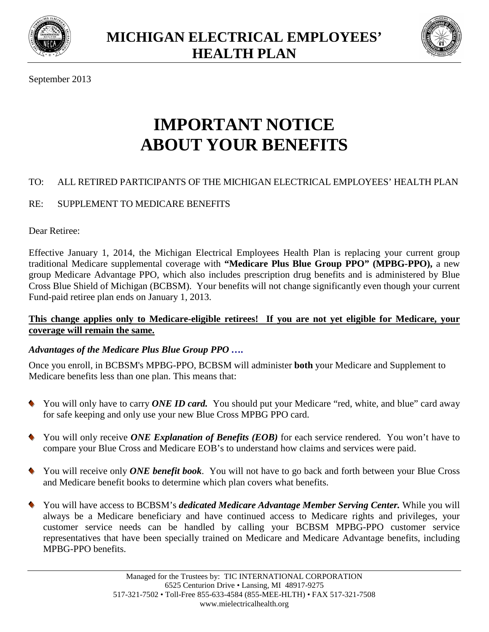



September 2013

# **IMPORTANT NOTICE ABOUT YOUR BENEFITS**

# TO: ALL RETIRED PARTICIPANTS OF THE MICHIGAN ELECTRICAL EMPLOYEES' HEALTH PLAN

# RE: SUPPLEMENT TO MEDICARE BENEFITS

Dear Retiree:

Effective January 1, 2014, the Michigan Electrical Employees Health Plan is replacing your current group traditional Medicare supplemental coverage with **"Medicare Plus Blue Group PPO" (MPBG-PPO),** a new group Medicare Advantage PPO, which also includes prescription drug benefits and is administered by Blue Cross Blue Shield of Michigan (BCBSM). Your benefits will not change significantly even though your current Fund-paid retiree plan ends on January 1, 2013.

#### **This change applies only to Medicare-eligible retirees! If you are not yet eligible for Medicare, your coverage will remain the same.**

# *Advantages of the Medicare Plus Blue Group PPO ….*

Once you enroll, in BCBSM's MPBG-PPO, BCBSM will administer **both** your Medicare and Supplement to Medicare benefits less than one plan. This means that:

- You will only have to carry *ONE ID card*. You should put your Medicare "red, white, and blue" card away for safe keeping and only use your new Blue Cross MPBG PPO card.
- You will only receive *ONE Explanation of Benefits (EOB)* for each service rendered. You won't have to compare your Blue Cross and Medicare EOB's to understand how claims and services were paid.
- You will receive only *ONE benefit book*. You will not have to go back and forth between your Blue Cross and Medicare benefit books to determine which plan covers what benefits.
- You will have access to BCBSM's *dedicated Medicare Advantage Member Serving Center.* While you will always be a Medicare beneficiary and have continued access to Medicare rights and privileges, your customer service needs can be handled by calling your BCBSM MPBG-PPO customer service representatives that have been specially trained on Medicare and Medicare Advantage benefits, including MPBG-PPO benefits.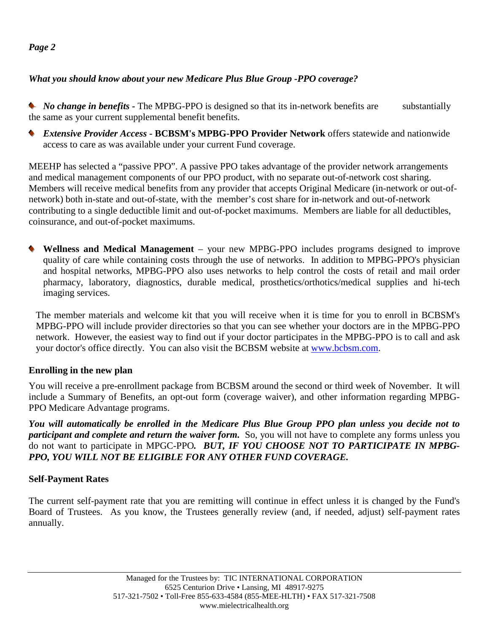#### *Page 2*

# *What you should know about your new Medicare Plus Blue Group -PPO coverage?*

• *No change in benefits* • The MPBG-PPO is designed so that its in-network benefits are substantially the same as your current supplemental benefit benefits.

 *Extensive Provider Access* **- BCBSM's MPBG-PPO Provider Network** offers statewide and nationwide access to care as was available under your current Fund coverage.

MEEHP has selected a "passive PPO". A passive PPO takes advantage of the provider network arrangements and medical management components of our PPO product, with no separate out-of-network cost sharing. Members will receive medical benefits from any provider that accepts Original Medicare (in-network or out-ofnetwork) both in-state and out-of-state, with the member's cost share for in-network and out-of-network contributing to a single deductible limit and out-of-pocket maximums. Members are liable for all deductibles, coinsurance, and out-of-pocket maximums.

 **Wellness and Medical Management** – your new MPBG-PPO includes programs designed to improve quality of care while containing costs through the use of networks. In addition to MPBG-PPO's physician and hospital networks, MPBG-PPO also uses networks to help control the costs of retail and mail order pharmacy, laboratory, diagnostics, durable medical, prosthetics/orthotics/medical supplies and hi-tech imaging services.

The member materials and welcome kit that you will receive when it is time for you to enroll in BCBSM's MPBG-PPO will include provider directories so that you can see whether your doctors are in the MPBG-PPO network. However, the easiest way to find out if your doctor participates in the MPBG-PPO is to call and ask your doctor's office directly. You can also visit the BCBSM website at www.bcbsm.com.

# **Enrolling in the new plan**

You will receive a pre-enrollment package from BCBSM around the second or third week of November. It will include a Summary of Benefits, an opt-out form (coverage waiver), and other information regarding MPBG-PPO Medicare Advantage programs.

*You will automatically be enrolled in the Medicare Plus Blue Group PPO plan unless you decide not to participant and complete and return the waiver form.* So, you will not have to complete any forms unless you do not want to participate in MPGC-PPO*. BUT, IF YOU CHOOSE NOT TO PARTICIPATE IN MPBG-PPO, YOU WILL NOT BE ELIGIBLE FOR ANY OTHER FUND COVERAGE.*

#### **Self-Payment Rates**

The current self-payment rate that you are remitting will continue in effect unless it is changed by the Fund's Board of Trustees. As you know, the Trustees generally review (and, if needed, adjust) self-payment rates annually.